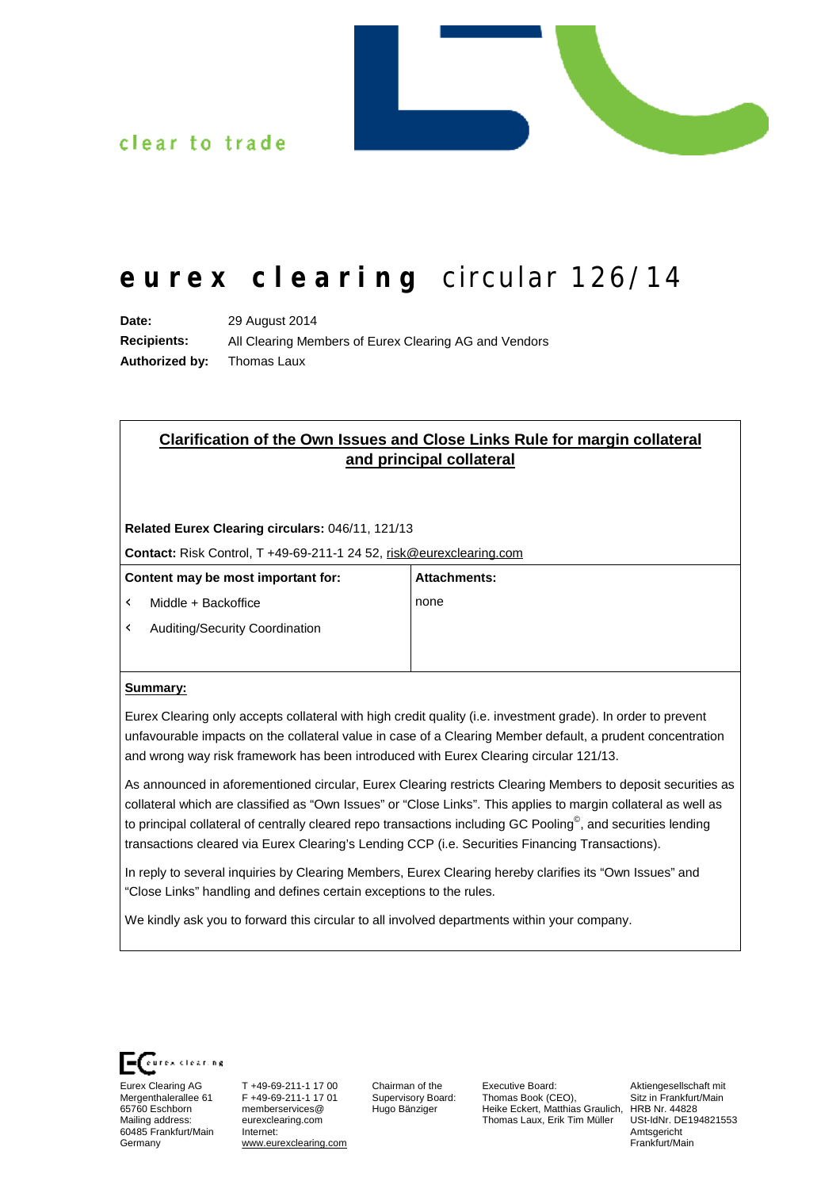

## clear to trade

# **e u r e x c l e a r i ng** *c ir cul ar 126/14*

**Date:** 29 August 2014 **Recipients:** All Clearing Members of Eurex Clearing AG and Vendors **Authorized by:** Thomas Laux

## **Clarification of the Own Issues and Close Links Rule for margin collateral and principal collateral**

**Related Eurex Clearing circulars:** 046/11, 121/13

**Contact:** Risk Control, T +49-69-211-1 24 52, [risk@eurexclearing.com](mailto:risk@eurexclearing.com)

| Content may be most important for: |                                                   | <b>Attachments:</b> |
|------------------------------------|---------------------------------------------------|---------------------|
| Û                                  | Middle + Backoffice                               | none                |
|                                    | $\dot{\mathbf{U}}$ Auditing/Security Coordination |                     |
|                                    |                                                   |                     |

#### **Summary:**

Eurex Clearing only accepts collateral with high credit quality (i.e. investment grade). In order to prevent unfavourable impacts on the collateral value in case of a Clearing Member default, a prudent concentration and wrong way risk framework has been introduced with Eurex Clearing circular 121/13.

As announced in aforementioned circular, Eurex Clearing restricts Clearing Members to deposit securities as collateral which are classified as "Own Issues" or "Close Links". This applies to margin collateral as well as to principal collateral of centrally cleared repo transactions including GC Pooling<sup>©</sup>, and securities lending transactions cleared via Eurex Clearing's Lending CCP (i.e. Securities Financing Transactions).

In reply to several inquiries by Clearing Members, Eurex Clearing hereby clarifies its "Own Issues" and "Close Links" handling and defines certain exceptions to the rules.

We kindly ask you to forward this circular to all involved departments within your company.



Eurex Clearing AG Mergenthalerallee 61 65760 Eschborn Mailing address: 60485 Frankfurt/Main Germany

T +49-69-211-1 17 00 F +49-69-211-1 17 01 memberservices@ eurexclearing.com Internet: [www.eurexclearing.com](http://www.eurexclearing.com)

Chairman of the Supervisory Board: Hugo Bänziger

Executive Board: Thomas Book (CEO), Heike Eckert, Matthias Graulich, HRB Nr. 44828 Thomas Laux, Erik Tim Müller

Aktiengesellschaft mit Sitz in Frankfurt/Main USt-IdNr. DE194821553 Amtsgericht Frankfurt/Main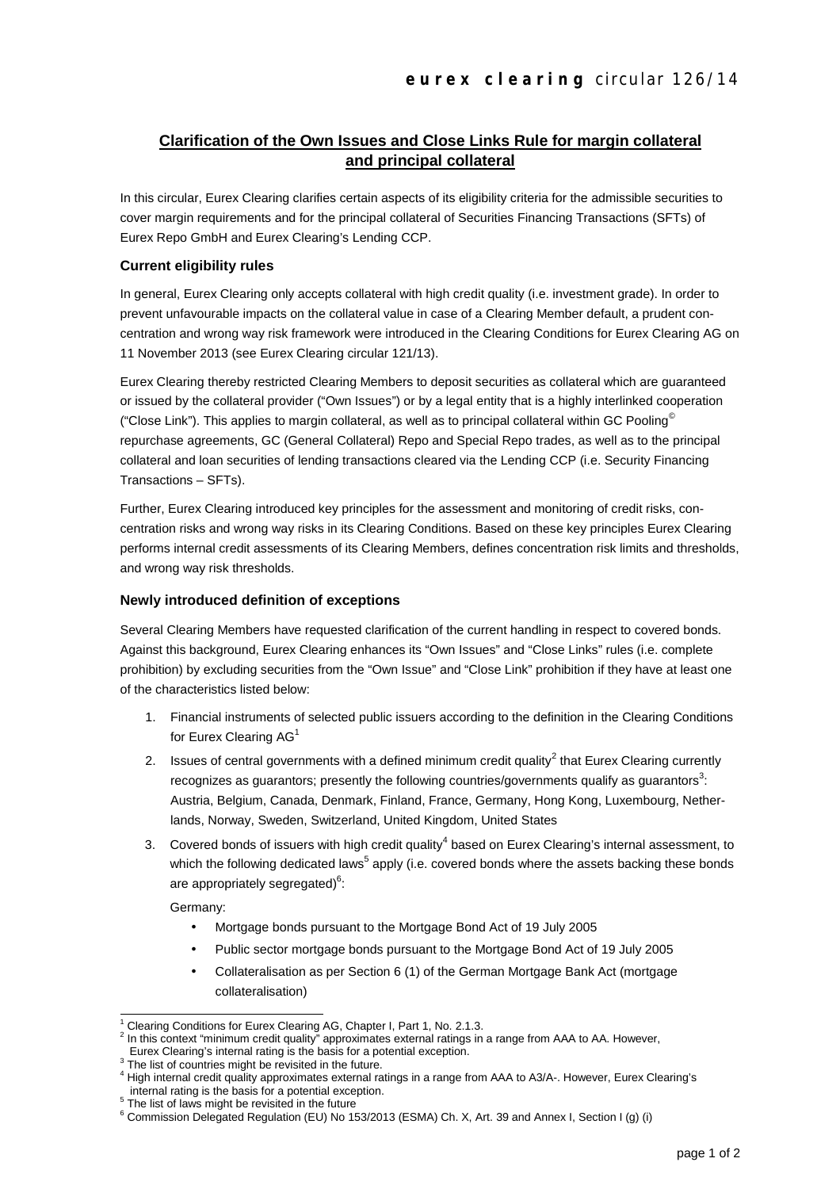### **Clarification of the Own Issues and Close Links Rule for margin collateral and principal collateral**

In this circular, Eurex Clearing clarifies certain aspects of its eligibility criteria for the admissible securities to cover margin requirements and for the principal collateral of Securities Financing Transactions (SFTs) of Eurex Repo GmbH and Eurex Clearing's Lending CCP.

#### **Current eligibility rules**

In general, Eurex Clearing only accepts collateral with high credit quality (i.e. investment grade). In order to prevent unfavourable impacts on the collateral value in case of a Clearing Member default, a prudent concentration and wrong way risk framework were introduced in the Clearing Conditions for Eurex Clearing AG on 11 November 2013 (see Eurex Clearing circular 121/13).

Eurex Clearing thereby restricted Clearing Members to deposit securities as collateral which are guaranteed or issued by the collateral provider ("Own Issues") or by a legal entity that is a highly interlinked cooperation ("Close Link"). This applies to margin collateral, as well as to principal collateral within GC Pooling<sup>®</sup> repurchase agreements, GC (General Collateral) Repo and Special Repo trades, as well as to the principal collateral and loan securities of lending transactions cleared via the Lending CCP (i.e. Security Financing Transactions – SFTs).

Further, Eurex Clearing introduced key principles for the assessment and monitoring of credit risks, concentration risks and wrong way risks in its Clearing Conditions. Based on these key principles Eurex Clearing performs internal credit assessments of its Clearing Members, defines concentration risk limits and thresholds, and wrong way risk thresholds.

#### **Newly introduced definition of exceptions**

Several Clearing Members have requested clarification of the current handling in respect to covered bonds. Against this background, Eurex Clearing enhances its "Own Issues" and "Close Links" rules (i.e. complete prohibition) by excluding securities from the "Own Issue" and "Close Link" prohibition if they have at least one of the characteristics listed below:

- 1. Financial instruments of selected public issuers according to the definition in the Clearing Conditions for Eurex Clearing AG<sup>1</sup>
- 2. Issues of central governments with a defined minimum credit quality<sup>2</sup> that Eurex Clearing currently recognizes as guarantors; presently the following countries/governments qualify as guarantors<sup>3</sup>: Austria, Belgium, Canada, Denmark, Finland, France, Germany, Hong Kong, Luxembourg, Netherlands, Norway, Sweden, Switzerland, United Kingdom, United States
- 3. Covered bonds of issuers with high credit quality $4$  based on Eurex Clearing's internal assessment, to which the following dedicated laws<sup>5</sup> apply (i.e. covered bonds where the assets backing these bonds are appropriately segregated) $^6$ :

Germany:

- Mortgage bonds pursuant to the Mortgage Bond Act of 19 July 2005
- Public sector mortgage bonds pursuant to the Mortgage Bond Act of 19 July 2005
- Collateralisation as per Section 6 (1) of the German Mortgage Bank Act (mortgage collateralisation)

l Clearing Conditions for Eurex Clearing AG, Chapter I, Part 1, No. 2.1.3.

<sup>2</sup> In this context "minimum credit quality" approximates external ratings in a range from AAA to AA. However,

Eurex Clearing's internal rating is the basis for a potential exception.

<sup>3</sup> The list of countries might be revisited in the future.

<sup>4</sup> High internal credit quality approximates external ratings in a range from AAA to A3/A-. However, Eurex Clearing's internal rating is the basis for a potential exception.

<sup>&</sup>lt;sup>5</sup> The list of laws might be revisited in the future

<sup>6</sup> Commission Delegated Regulation (EU) No 153/2013 (ESMA) Ch. X, Art. 39 and Annex I, Section I (g) (i)